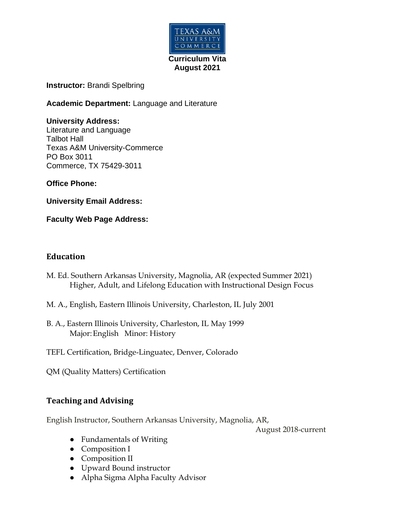

#### **Instructor:** Brandi Spelbring

**Academic Department:** Language and Literature

#### **University Address:**

Literature and Language Talbot Hall Texas A&M University-Commerce PO Box 3011 Commerce, TX 75429-3011

**Office Phone:**

**University Email Address:**

**Faculty Web Page Address:** 

### **Education**

- M. Ed. Southern Arkansas University, Magnolia, AR (expected Summer 2021) Higher, Adult, and Lifelong Education with Instructional Design Focus
- M. A., English, Eastern Illinois University, Charleston, IL July 2001
- B. A., Eastern Illinois University, Charleston, IL May 1999 Major:English Minor: History
- TEFL Certification, Bridge-Linguatec, Denver, Colorado

QM (Quality Matters) Certification

## **Teaching and Advising**

English Instructor, Southern Arkansas University, Magnolia, AR,

August 2018-current

- Fundamentals of Writing
- Composition I
- Composition II
- Upward Bound instructor
- Alpha Sigma Alpha Faculty Advisor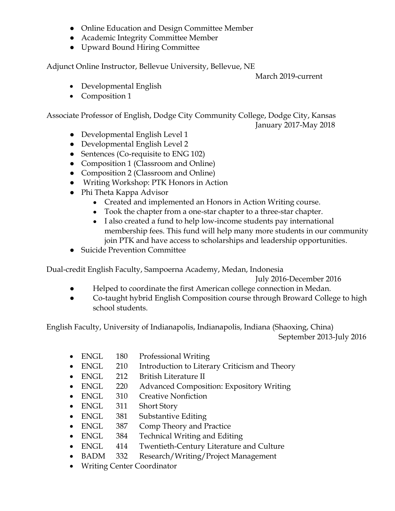- Online Education and Design Committee Member
- Academic Integrity Committee Member
- Upward Bound Hiring Committee

Adjunct Online Instructor, Bellevue University, Bellevue, NE

March 2019-current

- Developmental English
- Composition 1

Associate Professor of English, Dodge City Community College, Dodge City, Kansas January 2017-May 2018

- Developmental English Level 1
- Developmental English Level 2
- Sentences (Co-requisite to ENG 102)
- Composition 1 (Classroom and Online)
- Composition 2 (Classroom and Online)
- Writing Workshop: PTK Honors in Action
- Phi Theta Kappa Advisor
	- Created and implemented an Honors in Action Writing course.
	- Took the chapter from a one-star chapter to a three-star chapter.
	- I also created a fund to help low-income students pay international membership fees. This fund will help many more students in our community join PTK and have access to scholarships and leadership opportunities.
- Suicide Prevention Committee

Dual-credit English Faculty, Sampoerna Academy, Medan, Indonesia

July 2016-December 2016

- Helped to coordinate the first American college connection in Medan.
- Co-taught hybrid English Composition course through Broward College to high school students.

English Faculty, University of Indianapolis, Indianapolis, Indiana (Shaoxing, China) September 2013-July 2016

- ENGL 180 Professional Writing
- ENGL 210 Introduction to Literary Criticism and Theory
- ENGL 212 British Literature II
- ENGL 220 Advanced Composition: Expository Writing
- ENGL 310 Creative Nonfiction
- ENGL 311 Short Story
- ENGL 381 Substantive Editing
- ENGL 387 Comp Theory and Practice
- ENGL 384 Technical Writing and Editing
- ENGL 414 Twentieth-Century Literature and Culture
- BADM 332 Research/Writing/Project Management
- Writing Center Coordinator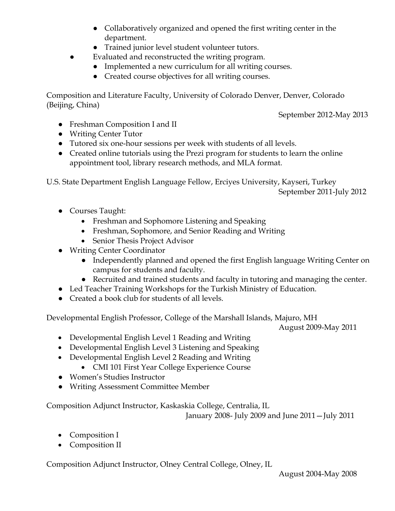- Collaboratively organized and opened the first writing center in the department.
- Trained junior level student volunteer tutors.
- Evaluated and reconstructed the writing program.
	- Implemented a new curriculum for all writing courses.
	- Created course objectives for all writing courses.

Composition and Literature Faculty, University of Colorado Denver, Denver, Colorado (Beijing, China)

September 2012-May 2013

- Freshman Composition I and II
- Writing Center Tutor
- Tutored six one-hour sessions per week with students of all levels.
- Created online tutorials using the Prezi program for students to learn the online appointment tool, library research methods, and MLA format.

U.S. State Department English Language Fellow, Erciyes University, Kayseri, Turkey September 2011-July 2012

- Courses Taught:
	- Freshman and Sophomore Listening and Speaking
	- Freshman, Sophomore, and Senior Reading and Writing
	- Senior Thesis Project Advisor
- Writing Center Coordinator
	- Independently planned and opened the first English language Writing Center on campus for students and faculty.
	- Recruited and trained students and faculty in tutoring and managing the center.
- Led Teacher Training Workshops for the Turkish Ministry of Education.
- Created a book club for students of all levels.

Developmental English Professor, College of the Marshall Islands, Majuro, MH

August 2009-May 2011

- Developmental English Level 1 Reading and Writing
- Developmental English Level 3 Listening and Speaking
- Developmental English Level 2 Reading and Writing
	- CMI 101 First Year College Experience Course
- Women's Studies Instructor
- Writing Assessment Committee Member

Composition Adjunct Instructor, Kaskaskia College, Centralia, IL

January 2008- July 2009 and June 2011—July 2011

- Composition I
- Composition II

Composition Adjunct Instructor, Olney Central College, Olney, IL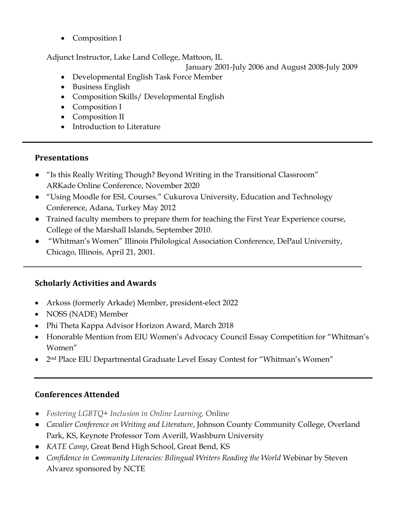• Composition I

Adjunct Instructor, Lake Land College, Mattoon, IL

# January 2001-July 2006 and August 2008-July 2009

- Developmental English Task Force Member
- Business English
- Composition Skills / Developmental English
- Composition I
- Composition II
- Introduction to Literature

# **Presentations**

- "Is this Really Writing Though? Beyond Writing in the Transitional Classroom" ARKade Online Conference, November 2020
- "Using Moodle for ESL Courses." Cukurova University, Education and Technology Conference, Adana, Turkey May 2012
- Trained faculty members to prepare them for teaching the First Year Experience course, College of the Marshall Islands, September 2010.
- "Whitman's Women" Illinois Philological Association Conference, DePaul University, Chicago, Illinois, April 21, 2001.

**\_\_\_\_\_\_\_\_\_\_\_\_\_\_\_\_\_\_\_\_\_\_\_\_\_\_\_\_\_\_\_\_\_\_\_\_\_\_\_\_\_\_\_\_\_\_\_\_\_\_\_\_\_\_\_\_\_\_\_\_\_\_\_\_\_\_\_\_\_\_\_\_\_\_\_\_\_\_\_\_\_\_\_\_\_\_\_\_\_\_\_\_\_\_\_\_\_\_\_\_\_\_\_\_\_\_\_\_\_**

# **Scholarly Activities and Awards**

- Arkoss (formerly Arkade) Member, president-elect 2022
- NOSS (NADE) Member
- Phi Theta Kappa Advisor Horizon Award, March 2018
- Honorable Mention from EIU Women's Advocacy Council Essay Competition for "Whitman's Women"
- 2nd Place EIU Departmental Graduate Level Essay Contest for "Whitman's Women"

# **Conferences Attended**

- *Fostering LGBTQ+ Inclusion in Online Learning,* Online
- *Cavalier Conference on Writing and Literature*, Johnson County Community College, Overland Park, KS, Keynote Professor Tom Averill, Washburn University
- *KATE Camp*, Great Bend High School, Great Bend, KS
- *Confidence in Community Literacies: Bilingual Writers Reading the World* Webinar by Steven Alvarez sponsored by NCTE